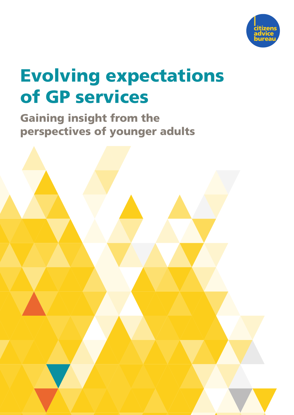

# Evolving expectations of GP services

Gaining insight from the perspectives of younger adults

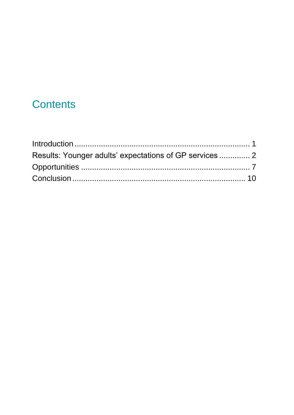# **Contents**

| Results: Younger adults' expectations of GP services  2 |  |
|---------------------------------------------------------|--|
|                                                         |  |
|                                                         |  |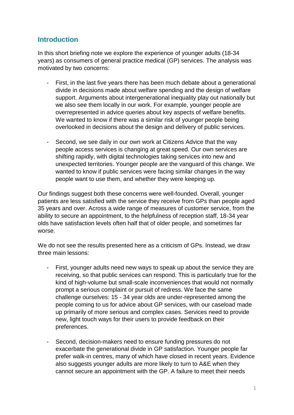#### <span id="page-4-0"></span>**Introduction**

In this short briefing note we explore the experience of younger adults (18-34 years) as consumers of general practice medical (GP) services. The analysis was motivated by two concerns:

- First, in the last five years there has been much debate about a generational divide in decisions made about welfare spending and the design of welfare support. Arguments about intergenerational inequality play out nationally but we also see them locally in our work. For example, younger people are overrepresented in advice queries about key aspects of welfare benefits. We wanted to know if there was a similar risk of younger people being overlooked in decisions about the design and delivery of public services.
- Second, we see daily in our own work at Citizens Advice that the way people access services is changing at great speed. Our own services are shifting rapidly, with digital technologies taking services into new and unexpected territories. Younger people are the vanguard of this change. We wanted to know if public services were facing similar changes in the way people want to use them, and whether they were keeping up.

Our findings suggest both these concerns were well-founded. Overall, younger patients are less satisfied with the service they receive from GPs than people aged 35 years and over. Across a wide range of measures of customer service, from the ability to secure an appointment, to the helpfulness of reception staff, 18-34 year olds have satisfaction levels often half that of older people, and sometimes far worse.

We do not see the results presented here as a criticism of GPs. Instead, we draw three main lessons:

- First, younger adults need new ways to speak up about the service they are receiving, so that public services can respond. This is particularly true for the kind of high-volume but small-scale inconveniences that would not normally prompt a serious complaint or pursuit of redress. We face the same challenge ourselves: 15 - 34 year olds are under-represented among the people coming to us for advice about GP services, with our caseload made up primarily of more serious and complex cases. Services need to provide new, light touch ways for their users to provide feedback on their preferences.
- Second, decision-makers need to ensure funding pressures do not exacerbate the generational divide in GP satisfaction. Younger people far prefer walk-in centres, many of which have closed in recent years. Evidence also suggests younger adults are more likely to turn to A&E when they cannot secure an appointment with the GP. A failure to meet their needs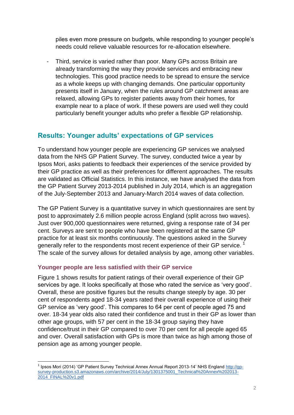piles even more pressure on budgets, while responding to younger people's needs could relieve valuable resources for re-allocation elsewhere.

Third, service is varied rather than poor. Many GPs across Britain are already transforming the way they provide services and embracing new technologies. This good practice needs to be spread to ensure the service as a whole keeps up with changing demands. One particular opportunity presents itself in January, when the rules around GP catchment areas are relaxed, allowing GPs to register patients away from their homes, for example near to a place of work. If these powers are used well they could particularly benefit younger adults who prefer a flexible GP relationship.

#### <span id="page-5-0"></span>**Results: Younger adults' expectations of GP services**

To understand how younger people are experiencing GP services we analysed data from the NHS GP Patient Survey. The survey, conducted twice a year by Ipsos Mori, asks patients to feedback their experiences of the service provided by their GP practice as well as their preferences for different approaches. The results are validated as Official Statistics. In this instance, we have analysed the data from the GP Patient Survey 2013-2014 published in July 2014, which is an aggregation of the July-September 2013 and January-March 2014 waves of data collection.

The GP Patient Survey is a quantitative survey in which questionnaires are sent by post to approximately 2.6 million people across England (split across two waves). Just over 900,000 questionnaires were returned, giving a response rate of 34 per cent. Surveys are sent to people who have been registered at the same GP practice for at least six months continuously. The questions asked in the Survey generally refer to the respondents most recent experience of their GP service. <sup>1</sup> The scale of the survey allows for detailed analysis by age, among other variables.

#### **Younger people are less satisfied with their GP service**

Figure 1 shows results for patient ratings of their overall experience of their GP services by age. It looks specifically at those who rated the service as 'very good'. Overall, these are positive figures but the results change steeply by age. 30 per cent of respondents aged 18-34 years rated their overall experience of using their GP service as 'very good'. This compares to 64 per cent of people aged 75 and over. 18-34 year olds also rated their confidence and trust in their GP as lower than other age groups, with 57 per cent in the 18-34 group saying they have confidence/trust in their GP compared to over 70 per cent for all people aged 65 and over. Overall satisfaction with GPs is more than twice as high among those of pension age as among younger people.

 $\overline{a}$ <sup>1</sup> Ipsos Mori (2014) 'GP Patient Survey Technical Annex Annual Report 2013-14' NHS England [http://gp](http://gp-survey-production.s3.amazonaws.com/archive/2014/July/1301375001_Technical%20Annex%202013-2014_FINAL%20v1.pdf)[survey-production.s3.amazonaws.com/archive/2014/July/1301375001\\_Technical%20Annex%202013-](http://gp-survey-production.s3.amazonaws.com/archive/2014/July/1301375001_Technical%20Annex%202013-2014_FINAL%20v1.pdf) [2014\\_FINAL%20v1.pdf](http://gp-survey-production.s3.amazonaws.com/archive/2014/July/1301375001_Technical%20Annex%202013-2014_FINAL%20v1.pdf)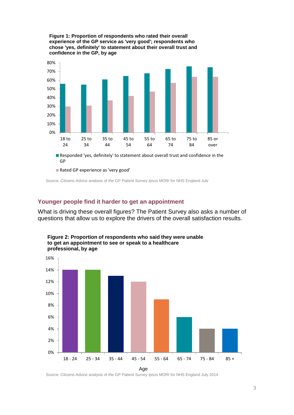

**Figure 1: Proportion of respondents who rated their overall experience of the GP service as 'very good'; respondents who chose 'yes, definitely' to statement about their overall trust and confidence in the GP, by age** 

Source: Citizens Advice analysis of the GP Patient Survey Ipsos MORI for NHS England July

#### **Younger people find it harder to get an appointment**

What is driving these overall figures? The Patient Survey also asks a number of questions that allow us to explore the drivers of the overall satisfaction results.



**Figure 2: Proportion of respondents who said they were unable to get an appointment to see or speak to a healthcare professional, by age**

Age

Source: Citizens Advice analysis of the GP Patient Survey Ipsos MORI for NHS England July 2014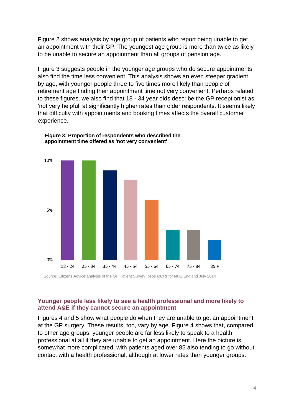Figure 2 shows analysis by age group of patients who report being unable to get an appointment with their GP. The youngest age group is more than twice as likely to be unable to secure an appointment than all groups of pension age.

Figure 3 suggests people in the younger age groups who do secure appointments also find the time less convenient. This analysis shows an even steeper gradient by age, with younger people three to five times more likely than people of retirement age finding their appointment time not very convenient. Perhaps related to these figures, we also find that 18 - 34 year olds describe the GP receptionist as 'not very helpful' at significantly higher rates than older respondents. It seems likely that difficulty with appointments and booking times affects the overall customer experience.



**Figure 3: Proportion of respondents who described the appointment time offered as 'not very convenient'** 

Source: Citizens Advice analysis of the GP Patient Survey Ipsos MORI for NHS England July 2014

#### **Younger people less likely to see a health professional and more likely to attend A&E if they cannot secure an appointment**

Figures 4 and 5 show what people do when they are unable to get an appointment at the GP surgery. These results, too, vary by age. Figure 4 shows that, compared to other age groups, younger people are far less likely to speak to a health professional at all if they are unable to get an appointment. Here the picture is somewhat more complicated, with patients aged over 85 also tending to go without contact with a health professional, although at lower rates than younger groups.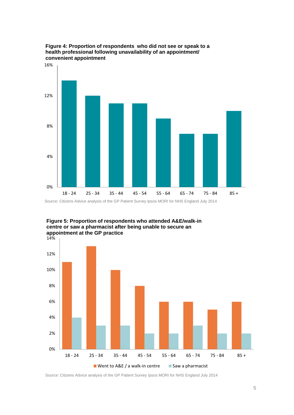

**Figure 4: Proportion of respondents who did not see or speak to a health professional following unavailability of an appointment/ convenient appointment**



**Figure 5: Proportion of respondents who attended A&E/walk-in centre or saw a pharmacist after being unable to secure an appointment at the GP practice**

Source: Citizens Advice analysis of the GP Patient Survey Ipsos MORI for NHS England July 2014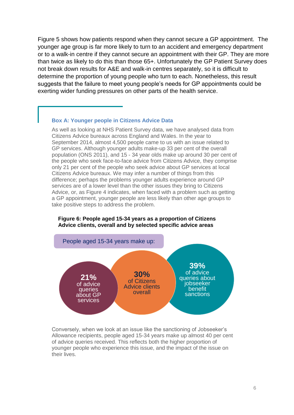Figure 5 shows how patients respond when they cannot secure a GP appointment. The younger age group is far more likely to turn to an accident and emergency department or to a walk-in centre if they cannot secure an appointment with their GP. They are more than twice as likely to do this than those 65+. Unfortunately the GP Patient Survey does not break down results for A&E and walk-in centres separately, so it is difficult to determine the proportion of young people who turn to each. Nonetheless, this result suggests that the failure to meet young people's needs for GP appointments could be exerting wider funding pressures on other parts of the health service.

#### **Box A: Younger people in Citizens Advice Data**

As well as looking at NHS Patient Survey data, we have analysed data from Citizens Advice bureaux across England and Wales. In the year to September 2014, almost 4,500 people came to us with an issue related to GP services. Although younger adults make-up 33 per cent of the overall population (ONS 2011), and 15 - 34 year olds make up around 30 per cent of the people who seek face-to-face advice from Citizens Advice, they comprise only 21 per cent of the people who seek advice about GP services at local Citizens Advice bureaux. We may infer a number of things from this difference; perhaps the problems younger adults experience around GP services are of a lower level than the other issues they bring to Citizens Advice, or, as Figure 4 indicates, when faced with a problem such as getting a GP appointment, younger people are less likely than other age groups to take positive steps to address the problem.

### **Figure 6: People aged 15-34 years as a proportion of Citizens Advice clients, overall and by selected specific advice areas**



Conversely, when we look at an issue like the sanctioning of Jobseeker's Allowance recipients, people aged 15-34 years make up almost 40 per cent of advice queries received. This reflects both the higher proportion of younger people who experience this issue, and the impact of the issue on their lives.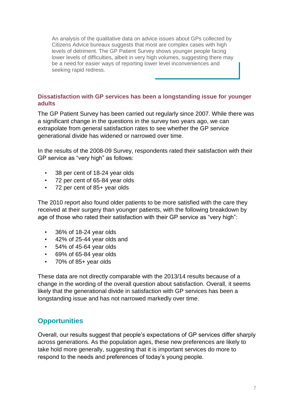An analysis of the qualitative data on advice issues about GPs collected by Citizens Advice bureaux suggests that most are complex cases with high levels of detriment. The GP Patient Survey shows younger people facing lower levels of difficulties, albeit in very high volumes, suggesting there may be a need for easier ways of reporting lower level inconveniences and seeking rapid redress.

#### **Dissatisfaction with GP services has been a longstanding issue for younger adults**

The GP Patient Survey has been carried out regularly since 2007. While there was a significant change in the questions in the survey two years ago, we can extrapolate from general satisfaction rates to see whether the GP service generational divide has widened or narrowed over time.

In the results of the 2008-09 Survey, respondents rated their satisfaction with their GP service as "very high" as follows:

- 38 per cent of 18-24 year olds
- 72 per cent of 65-84 year olds
- 72 per cent of 85+ year olds

The 2010 report also found older patients to be more satisfied with the care they received at their surgery than younger patients, with the following breakdown by age of those who rated their satisfaction with their GP service as "very high":

- 36% of 18-24 year olds
- 42% of 25-44 year olds and
- 54% of 45-64 year olds
- 69% of 65-84 year olds
- 70% of 85+ year olds

These data are not directly comparable with the 2013/14 results because of a change in the wording of the overall question about satisfaction. Overall, it seems likely that the generational divide in satisfaction with GP services has been a longstanding issue and has not narrowed markedly over time.

#### <span id="page-10-0"></span>**Opportunities**

Overall, our results suggest that people's expectations of GP services differ sharply across generations. As the population ages, these new preferences are likely to take hold more generally, suggesting that it is important services do more to respond to the needs and preferences of today's young people.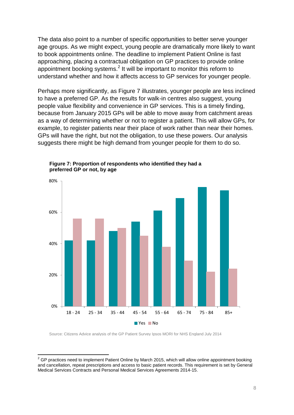The data also point to a number of specific opportunities to better serve younger age groups. As we might expect, young people are dramatically more likely to want to book appointments online. The deadline to implement Patient Online is fast approaching, placing a contractual obligation on GP practices to provide online appointment booking systems.<sup>2</sup> It will be important to monitor this reform to understand whether and how it affects access to GP services for younger people.

Perhaps more significantly, as Figure 7 illustrates, younger people are less inclined to have a preferred GP. As the results for walk-in centres also suggest, young people value flexibility and convenience in GP services. This is a timely finding, because from January 2015 GPs will be able to move away from catchment areas as a way of determining whether or not to register a patient. This will allow GPs, for example, to register patients near their place of work rather than near their homes. GPs will have the right, but not the obligation, to use these powers. Our analysis suggests there might be high demand from younger people for them to do so.



**Figure 7: Proportion of respondents who identified they had a preferred GP or not, by age**

Source: Citizens Advice analysis of the GP Patient Survey Ipsos MORI for NHS England July 2014

 $\overline{a}$ 

 $2$  GP practices need to implement Patient Online by March 2015, which will allow online appointment booking and cancellation, repeat prescriptions and access to basic patient records. This requirement is set by General Medical Services Contracts and Personal Medical Services Agreements 2014-15.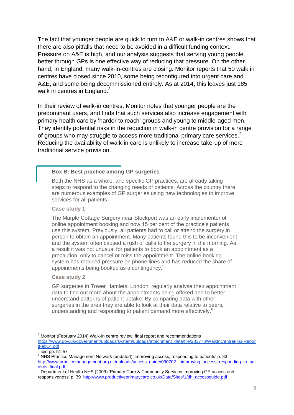The fact that younger people are quick to turn to A&E or walk-in centres shows that there are also pitfalls that need to be avoided in a difficult funding context. Pressure on A&E is high, and our analysis suggests that serving young people better through GPs is one effective way of reducing that pressure. On the other hand, in England, many walk-in-centres are closing. Monitor reports that 50 walk in centres have closed since 2010, some being reconfigured into urgent care and A&E, and some being decommissioned entirely. As at 2014, this leaves just 185 walk in centres in England. $3$ 

In their review of walk-in centres, Monitor notes that younger people are the predominant users, and finds that such services also increase engagement with primary health care by 'harder to reach' groups and young to middle-aged men. They identify potential risks in the reduction in walk-in centre provision for a range of groups who may struggle to access more traditional primary care services.<sup>4</sup> Reducing the availability of walk-in care is unlikely to increase take-up of more traditional service provision.

#### **Box B: Best practice among GP surgeries**

Both the NHS as a whole, and specific GP practices, are already taking steps to respond to the changing needs of patients. Across the country there are numerous examples of GP surgeries using new technologies to improve services for all patients.

#### **Case study 1**

The Marple Cottage Surgery near Stockport was an early implementer of online appointment booking and now 15 per cent of the practice's patients use this system. Previously, all patients had to call or attend the surgery in person to obtain an appointment. Many patients found this to be inconvenient and the system often caused a rush of calls to the surgery in the morning. As a result it was not unusual for patients to book an appointment as a precaution, only to cancel or miss the appointment. The online booking system has reduced pressure on phone lines and has reduced the share of appointments being booked as a contingency.<sup>5</sup>

#### **Case study 2**

GP surgeries in Tower Hamlets, London, regularly analyse their appointment data to find out more about the appointments being offered and to better understand patterns of patient uptake. By comparing data with other surgeries in the area they are able to look at their data relative to peers. understanding and responding to patient demand more effectively.<sup>6</sup>

 $\overline{a}$  $3$  Monitor (February 2014) Walk-in centre review: final report and recommendations [https://www.gov.uk/government/uploads/system/uploads/attachment\\_data/file/283778/WalkInCentreFinalRepor](https://www.gov.uk/government/uploads/system/uploads/attachment_data/file/283778/WalkInCentreFinalReportFeb14.pdf) [tFeb14.pdf](https://www.gov.uk/government/uploads/system/uploads/attachment_data/file/283778/WalkInCentreFinalReportFeb14.pdf) 4

ibid pp. 51-57

<sup>5</sup> NHS Practice Management Network (undated) 'Improving access, responding to patients' p. 33 [http://www.practicemanagement.org.uk/uploads/access\\_guide/090702\\_\\_improving\\_access\\_responding\\_to\\_pat](http://www.practicemanagement.org.uk/uploads/access_guide/090702__improving_access_responding_to_patients_final.pdf) ients\_final.pdf

<sup>&</sup>lt;sup>6</sup> Department of Health NHS (2009) 'Primary Care & Community Services: Improving GP access and responsiveness' p. 39 http://www.productiveprimarycare.co.uk/Data/Sites/1/dh\_accessguide.pdf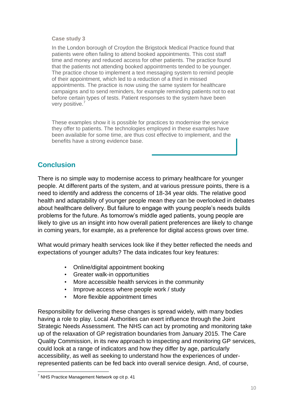#### **Case study 3**

In the London borough of Croydon the Brigstock Medical Practice found that patients were often failing to attend booked appointments. This cost staff time and money and reduced access for other patients. The practice found that the patients not attending booked appointments tended to be younger. The practice chose to implement a text messaging system to remind people of their appointment, which led to a reduction of a third in missed appointments. The practice is now using the same system for healthcare campaigns and to send reminders, for example reminding patients not to eat before certain types of tests. Patient responses to the system have been very positive.<sup>7</sup>

These examples show it is possible for practices to modernise the service they offer to patients. The technologies employed in these examples have been available for some time, are thus cost effective to implement, and the benefits have a strong evidence base.

#### <span id="page-13-0"></span>**Conclusion**

There is no simple way to modernise access to primary healthcare for younger people. At different parts of the system, and at various pressure points, there is a need to identify and address the concerns of 18-34 year olds. The relative good health and adaptability of younger people mean they can be overlooked in debates about healthcare delivery. But failure to engage with young people's needs builds problems for the future. As tomorrow's middle aged patients, young people are likely to give us an insight into how overall patient preferences are likely to change in coming years, for example, as a preference for digital access grows over time.

What would primary health services look like if they better reflected the needs and expectations of younger adults? The data indicates four key features:

- Online/digital appointment booking
- Greater walk-in opportunities
- More accessible health services in the community
- Improve access where people work / study
- More flexible appointment times

Responsibility for delivering these changes is spread widely, with many bodies having a role to play. Local Authorities can exert influence through the Joint Strategic Needs Assessment. The NHS can act by promoting and monitoring take up of the relaxation of GP registration boundaries from January 2015. The Care Quality Commission, in its new approach to inspecting and monitoring GP services, could look at a range of indicators and how they differ by age, particularly accessibility, as well as seeking to understand how the experiences of underrepresented patients can be fed back into overall service design. And, of course,

 $\overline{a}$ 

 $7$  NHS Practice Management Network op cit p. 41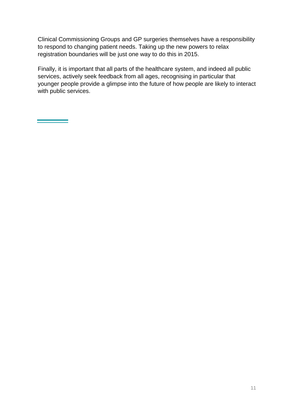Clinical Commissioning Groups and GP surgeries themselves have a responsibility to respond to changing patient needs. Taking up the new powers to relax registration boundaries will be just one way to do this in 2015.

Finally, it is important that all parts of the healthcare system, and indeed all public services, actively seek feedback from all ages, recognising in particular that younger people provide a glimpse into the future of how people are likely to interact with public services.